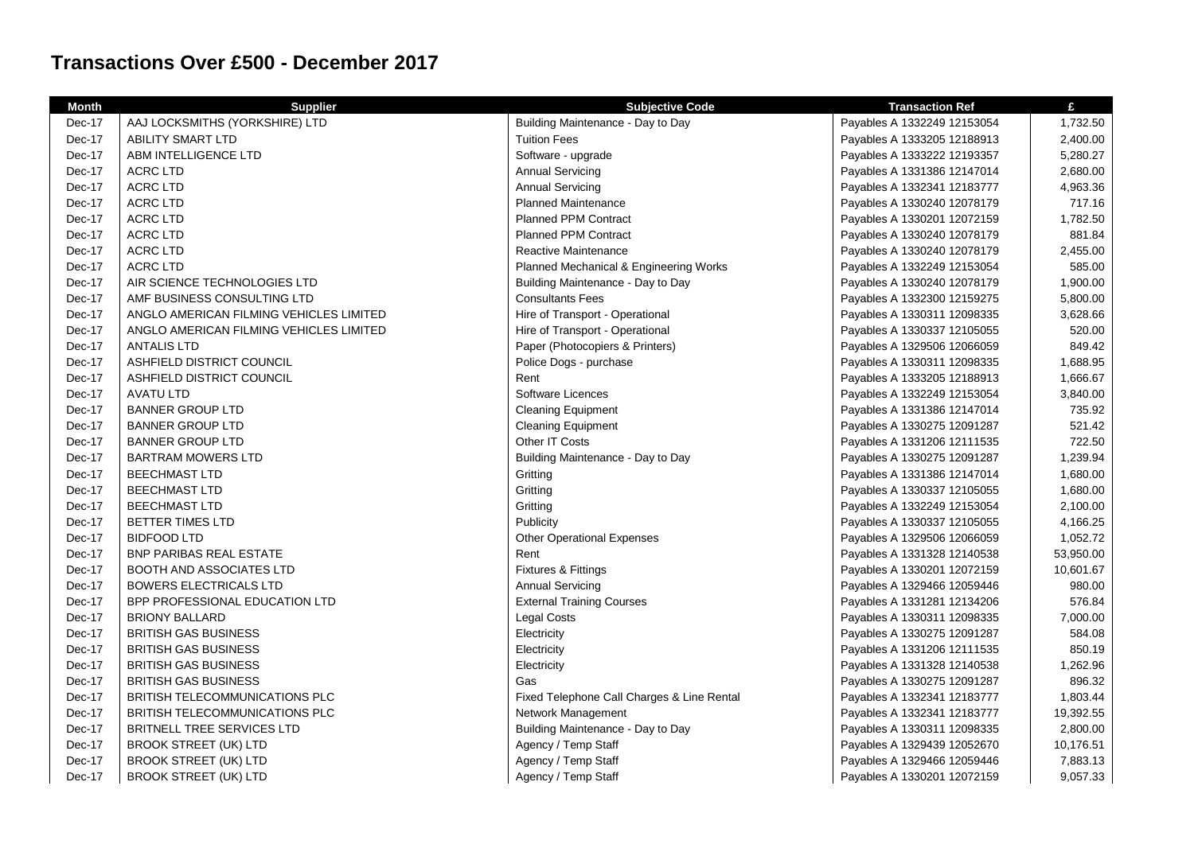## **Transactions Over £500 - December 2017**

| <b>Month</b> | <b>Supplier</b>                         | <b>Subjective Code</b>                     | <b>Transaction Ref</b>      | £         |
|--------------|-----------------------------------------|--------------------------------------------|-----------------------------|-----------|
| Dec-17       | AAJ LOCKSMITHS (YORKSHIRE) LTD          | Building Maintenance - Day to Day          | Payables A 1332249 12153054 | 1,732.50  |
| Dec-17       | <b>ABILITY SMART LTD</b>                | <b>Tuition Fees</b>                        | Payables A 1333205 12188913 | 2,400.00  |
| Dec-17       | ABM INTELLIGENCE LTD                    | Software - upgrade                         | Payables A 1333222 12193357 | 5,280.27  |
| Dec-17       | <b>ACRC LTD</b>                         | <b>Annual Servicing</b>                    | Payables A 1331386 12147014 | 2,680.00  |
| Dec-17       | <b>ACRC LTD</b>                         | <b>Annual Servicing</b>                    | Payables A 1332341 12183777 | 4,963.36  |
| Dec-17       | <b>ACRC LTD</b>                         | Planned Maintenance                        | Payables A 1330240 12078179 | 717.16    |
| Dec-17       | <b>ACRC LTD</b>                         | <b>Planned PPM Contract</b>                | Payables A 1330201 12072159 | 1,782.50  |
| Dec-17       | <b>ACRC LTD</b>                         | <b>Planned PPM Contract</b>                | Payables A 1330240 12078179 | 881.84    |
| Dec-17       | <b>ACRC LTD</b>                         | Reactive Maintenance                       | Payables A 1330240 12078179 | 2,455.00  |
| Dec-17       | <b>ACRC LTD</b>                         | Planned Mechanical & Engineering Works     | Payables A 1332249 12153054 | 585.00    |
| Dec-17       | AIR SCIENCE TECHNOLOGIES LTD            | Building Maintenance - Day to Day          | Payables A 1330240 12078179 | 1,900.00  |
| Dec-17       | AMF BUSINESS CONSULTING LTD             | <b>Consultants Fees</b>                    | Payables A 1332300 12159275 | 5,800.00  |
| Dec-17       | ANGLO AMERICAN FILMING VEHICLES LIMITED | Hire of Transport - Operational            | Payables A 1330311 12098335 | 3,628.66  |
| Dec-17       | ANGLO AMERICAN FILMING VEHICLES LIMITED | Hire of Transport - Operational            | Payables A 1330337 12105055 | 520.00    |
| Dec-17       | <b>ANTALIS LTD</b>                      | Paper (Photocopiers & Printers)            | Payables A 1329506 12066059 | 849.42    |
| Dec-17       | ASHFIELD DISTRICT COUNCIL               | Police Dogs - purchase                     | Payables A 1330311 12098335 | 1,688.95  |
| Dec-17       | ASHFIELD DISTRICT COUNCIL               | Rent                                       | Payables A 1333205 12188913 | 1,666.67  |
| Dec-17       | <b>AVATU LTD</b>                        | Software Licences                          | Payables A 1332249 12153054 | 3,840.00  |
| Dec-17       | <b>BANNER GROUP LTD</b>                 | <b>Cleaning Equipment</b>                  | Payables A 1331386 12147014 | 735.92    |
| Dec-17       | <b>BANNER GROUP LTD</b>                 | <b>Cleaning Equipment</b>                  | Payables A 1330275 12091287 | 521.42    |
| Dec-17       | <b>BANNER GROUP LTD</b>                 | Other IT Costs                             | Payables A 1331206 12111535 | 722.50    |
| Dec-17       | <b>BARTRAM MOWERS LTD</b>               | Building Maintenance - Day to Day          | Payables A 1330275 12091287 | 1,239.94  |
| Dec-17       | <b>BEECHMAST LTD</b>                    | Gritting                                   | Payables A 1331386 12147014 | 1,680.00  |
| Dec-17       | <b>BEECHMAST LTD</b>                    | Gritting                                   | Payables A 1330337 12105055 | 1,680.00  |
| Dec-17       | <b>BEECHMAST LTD</b>                    | Gritting                                   | Payables A 1332249 12153054 | 2,100.00  |
| Dec-17       | BETTER TIMES LTD                        | Publicity                                  | Payables A 1330337 12105055 | 4,166.25  |
| Dec-17       | <b>BIDFOOD LTD</b>                      | <b>Other Operational Expenses</b>          | Payables A 1329506 12066059 | 1,052.72  |
| Dec-17       | <b>BNP PARIBAS REAL ESTATE</b>          | Rent                                       | Payables A 1331328 12140538 | 53,950.00 |
| Dec-17       | <b>BOOTH AND ASSOCIATES LTD</b>         | <b>Fixtures &amp; Fittings</b>             | Payables A 1330201 12072159 | 10,601.67 |
| Dec-17       | <b>BOWERS ELECTRICALS LTD</b>           | <b>Annual Servicing</b>                    | Payables A 1329466 12059446 | 980.00    |
| Dec-17       | BPP PROFESSIONAL EDUCATION LTD          | <b>External Training Courses</b>           | Payables A 1331281 12134206 | 576.84    |
| Dec-17       | <b>BRIONY BALLARD</b>                   | Legal Costs                                | Payables A 1330311 12098335 | 7,000.00  |
| Dec-17       | <b>BRITISH GAS BUSINESS</b>             | Electricity                                | Payables A 1330275 12091287 | 584.08    |
| Dec-17       | <b>BRITISH GAS BUSINESS</b>             | Electricity                                | Payables A 1331206 12111535 | 850.19    |
| Dec-17       | <b>BRITISH GAS BUSINESS</b>             | Electricity                                | Payables A 1331328 12140538 | 1,262.96  |
| Dec-17       | <b>BRITISH GAS BUSINESS</b>             | Gas                                        | Payables A 1330275 12091287 | 896.32    |
| Dec-17       | <b>BRITISH TELECOMMUNICATIONS PLC</b>   | Fixed Telephone Call Charges & Line Rental | Payables A 1332341 12183777 | 1,803.44  |
| Dec-17       | BRITISH TELECOMMUNICATIONS PLC          | Network Management                         | Payables A 1332341 12183777 | 19,392.55 |
| Dec-17       | <b>BRITNELL TREE SERVICES LTD</b>       | Building Maintenance - Day to Day          | Payables A 1330311 12098335 | 2,800.00  |
| Dec-17       | <b>BROOK STREET (UK) LTD</b>            | Agency / Temp Staff                        | Payables A 1329439 12052670 | 10,176.51 |
| Dec-17       | <b>BROOK STREET (UK) LTD</b>            | Agency / Temp Staff                        | Payables A 1329466 12059446 | 7,883.13  |
| Dec-17       | BROOK STREET (UK) LTD                   | Agency / Temp Staff                        | Payables A 1330201 12072159 | 9,057.33  |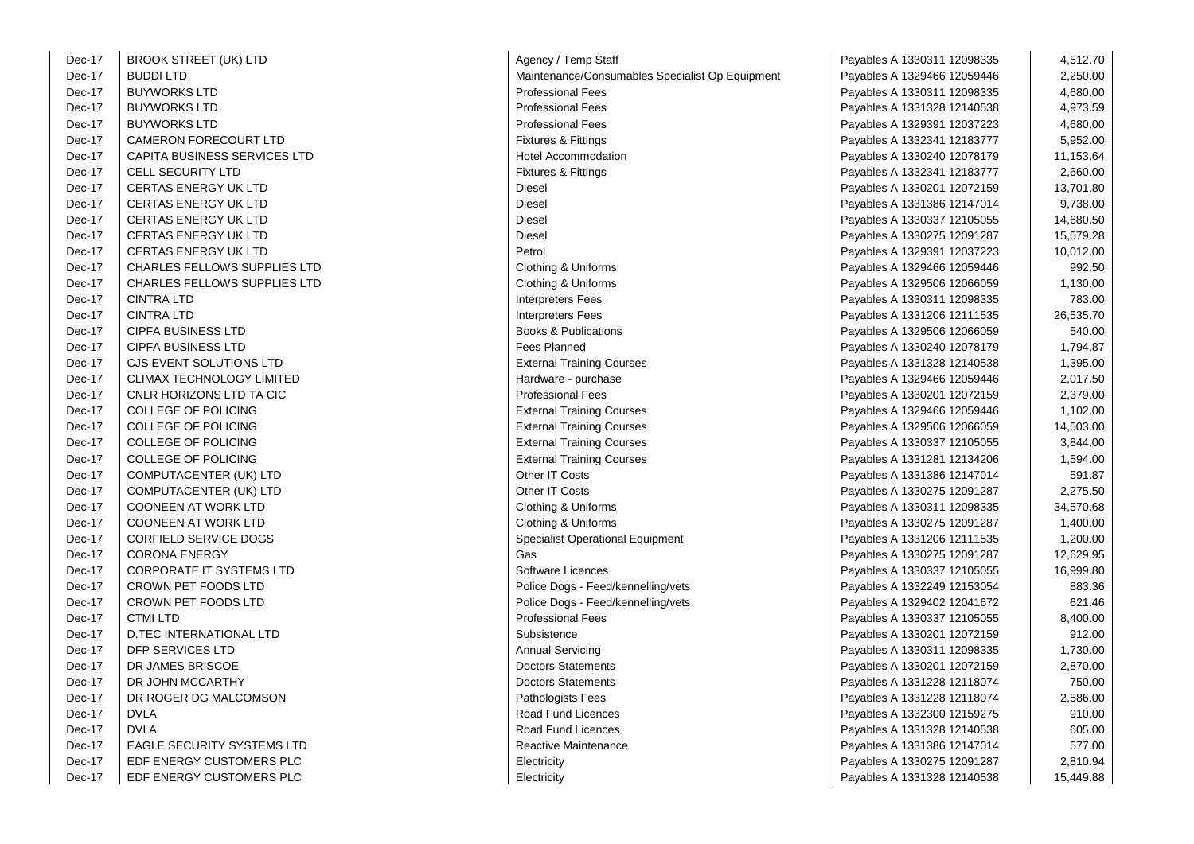| Dec-17 | <b>BROOK STREET (UK) LTD</b>        | Agency / Ter         |
|--------|-------------------------------------|----------------------|
| Dec-17 | <b>BUDDI LTD</b>                    | Maintenance          |
| Dec-17 | <b>BUYWORKS LTD</b>                 | Professional         |
| Dec-17 | <b>BUYWORKS LTD</b>                 | Professional         |
| Dec-17 | <b>BUYWORKS LTD</b>                 | Professional         |
| Dec-17 | CAMERON FORECOURT LTD               | Fixtures & Fi        |
| Dec-17 | <b>CAPITA BUSINESS SERVICES LTD</b> | <b>Hotel Accom</b>   |
| Dec-17 | <b>CELL SECURITY LTD</b>            | Fixtures & Fi        |
| Dec-17 | <b>CERTAS ENERGY UK LTD</b>         | Diesel               |
| Dec-17 | <b>CERTAS ENERGY UK LTD</b>         | Diesel               |
| Dec-17 | <b>CERTAS ENERGY UK LTD</b>         | Diesel               |
| Dec-17 | <b>CERTAS ENERGY UK LTD</b>         | Diesel               |
| Dec-17 | <b>CERTAS ENERGY UK LTD</b>         | Petrol               |
| Dec-17 | CHARLES FELLOWS SUPPLIES LTD        | Clothing & U         |
| Dec-17 | <b>CHARLES FELLOWS SUPPLIES LTD</b> | Clothing & U         |
| Dec-17 | <b>CINTRA LTD</b>                   | Interpreters I       |
| Dec-17 | <b>CINTRA LTD</b>                   | Interpreters I       |
| Dec-17 | <b>CIPFA BUSINESS LTD</b>           | Books & Put          |
| Dec-17 | <b>CIPFA BUSINESS LTD</b>           | <b>Fees Planne</b>   |
| Dec-17 | CJS EVENT SOLUTIONS LTD             | <b>External Trai</b> |
| Dec-17 | CLIMAX TECHNOLOGY LIMITED           | Hardware - p         |
| Dec-17 | CNLR HORIZONS LTD TA CIC            | Professional         |
| Dec-17 | <b>COLLEGE OF POLICING</b>          | <b>External Trai</b> |
| Dec-17 | COLLEGE OF POLICING                 | <b>External Trai</b> |
| Dec-17 | COLLEGE OF POLICING                 | <b>External Trai</b> |
| Dec-17 | COLLEGE OF POLICING                 | <b>External Trai</b> |
| Dec-17 | COMPUTACENTER (UK) LTD              | Other IT Cos         |
| Dec-17 | COMPUTACENTER (UK) LTD              | Other IT Cos         |
| Dec-17 | <b>COONEEN AT WORK LTD</b>          | Clothing & U         |
| Dec-17 | <b>COONEEN AT WORK LTD</b>          | Clothing & U         |
| Dec-17 | <b>CORFIELD SERVICE DOGS</b>        | Specialist Or        |
| Dec-17 | <b>CORONA ENERGY</b>                | Gas                  |
| Dec-17 | <b>CORPORATE IT SYSTEMS LTD</b>     | Software Lic         |
| Dec-17 | <b>CROWN PET FOODS LTD</b>          | Police Dogs          |
| Dec-17 | CROWN PET FOODS LTD                 | Police Dogs          |
| Dec-17 | <b>CTMI LTD</b>                     | Professional         |
| Dec-17 | D.TEC INTERNATIONAL LTD             | Subsistence          |
| Dec-17 | DFP SERVICES LTD                    | <b>Annual Servi</b>  |
| Dec-17 | DR JAMES BRISCOE                    | Doctors Stat         |
| Dec-17 | DR JOHN MCCARTHY                    | Doctors Stat         |
| Dec-17 | DR ROGER DG MALCOMSON               | Pathologists         |
| Dec-17 | <b>DVLA</b>                         | Road Fund L          |
| Dec-17 | <b>DVLA</b>                         | Road Fund L          |
| Dec-17 | <b>EAGLE SECURITY SYSTEMS LTD</b>   | Reactive Ma          |
| Dec-17 | EDF ENERGY CUSTOMERS PLC            | Electricity          |
| Dec-17 | EDF ENERGY CUSTOMERS PLC            | Electricity          |

| DRUUN SIREEI (UN) LID               | Agency / Temp Stall                             | Payables A TOOUOTT TZU90000 | 4,512.7U  |
|-------------------------------------|-------------------------------------------------|-----------------------------|-----------|
| <b>BUDDILTD</b>                     | Maintenance/Consumables Specialist Op Equipment | Payables A 1329466 12059446 | 2,250.00  |
| <b>BUYWORKS LTD</b>                 | <b>Professional Fees</b>                        | Payables A 1330311 12098335 | 4,680.00  |
| <b>BUYWORKS LTD</b>                 | <b>Professional Fees</b>                        | Payables A 1331328 12140538 | 4,973.59  |
| <b>BUYWORKS LTD</b>                 | <b>Professional Fees</b>                        | Payables A 1329391 12037223 | 4,680.00  |
| <b>CAMERON FORECOURT LTD</b>        | <b>Fixtures &amp; Fittings</b>                  | Payables A 1332341 12183777 | 5,952.00  |
| <b>CAPITA BUSINESS SERVICES LTD</b> | <b>Hotel Accommodation</b>                      | Payables A 1330240 12078179 | 11,153.64 |
| <b>CELL SECURITY LTD</b>            | <b>Fixtures &amp; Fittings</b>                  | Payables A 1332341 12183777 | 2,660.00  |
| CERTAS ENERGY UK LTD                | Diesel                                          | Payables A 1330201 12072159 | 13,701.80 |
| <b>CERTAS ENERGY UK LTD</b>         | <b>Diesel</b>                                   | Payables A 1331386 12147014 | 9,738.00  |
| <b>CERTAS ENERGY UK LTD</b>         | Diesel                                          | Payables A 1330337 12105055 | 14,680.50 |
| <b>CERTAS ENERGY UK LTD</b>         | Diesel                                          | Payables A 1330275 12091287 | 15,579.28 |
| <b>CERTAS ENERGY UK LTD</b>         | Petrol                                          | Payables A 1329391 12037223 | 10,012.00 |
| <b>CHARLES FELLOWS SUPPLIES LTD</b> | Clothing & Uniforms                             | Payables A 1329466 12059446 | 992.50    |
| <b>CHARLES FELLOWS SUPPLIES LTD</b> | Clothing & Uniforms                             | Payables A 1329506 12066059 | 1,130.00  |
| <b>CINTRA LTD</b>                   | <b>Interpreters Fees</b>                        | Payables A 1330311 12098335 | 783.00    |
| <b>CINTRA LTD</b>                   | <b>Interpreters Fees</b>                        | Payables A 1331206 12111535 | 26,535.70 |
| <b>CIPFA BUSINESS LTD</b>           | <b>Books &amp; Publications</b>                 | Payables A 1329506 12066059 | 540.00    |
| <b>CIPFA BUSINESS LTD</b>           | Fees Planned                                    | Payables A 1330240 12078179 | 1,794.87  |
| CJS EVENT SOLUTIONS LTD             | <b>External Training Courses</b>                | Payables A 1331328 12140538 | 1,395.00  |
| <b>CLIMAX TECHNOLOGY LIMITED</b>    | Hardware - purchase                             | Payables A 1329466 12059446 | 2,017.50  |
| CNLR HORIZONS LTD TA CIC            | <b>Professional Fees</b>                        | Payables A 1330201 12072159 | 2,379.00  |
| <b>COLLEGE OF POLICING</b>          | <b>External Training Courses</b>                | Payables A 1329466 12059446 | 1,102.00  |
| <b>COLLEGE OF POLICING</b>          | <b>External Training Courses</b>                | Payables A 1329506 12066059 | 14,503.00 |
| <b>COLLEGE OF POLICING</b>          | <b>External Training Courses</b>                | Payables A 1330337 12105055 | 3,844.00  |
| <b>COLLEGE OF POLICING</b>          | <b>External Training Courses</b>                | Payables A 1331281 12134206 | 1,594.00  |
| COMPUTACENTER (UK) LTD              | Other IT Costs                                  | Payables A 1331386 12147014 | 591.87    |
| COMPUTACENTER (UK) LTD              | Other IT Costs                                  | Payables A 1330275 12091287 | 2,275.50  |
| <b>COONEEN AT WORK LTD</b>          | Clothing & Uniforms                             | Payables A 1330311 12098335 | 34,570.68 |
| <b>COONEEN AT WORK LTD</b>          | Clothing & Uniforms                             | Payables A 1330275 12091287 | 1,400.00  |
| <b>CORFIELD SERVICE DOGS</b>        | Specialist Operational Equipment                | Payables A 1331206 12111535 | 1,200.00  |
| <b>CORONA ENERGY</b>                | Gas                                             | Payables A 1330275 12091287 | 12,629.95 |
| <b>CORPORATE IT SYSTEMS LTD</b>     | Software Licences                               | Payables A 1330337 12105055 | 16,999.80 |
| CROWN PET FOODS LTD                 | Police Dogs - Feed/kennelling/vets              | Payables A 1332249 12153054 | 883.36    |
| <b>CROWN PET FOODS LTD</b>          | Police Dogs - Feed/kennelling/vets              | Payables A 1329402 12041672 | 621.46    |
| <b>CTMI LTD</b>                     | <b>Professional Fees</b>                        | Payables A 1330337 12105055 | 8,400.00  |
| <b>D.TEC INTERNATIONAL LTD</b>      | Subsistence                                     | Payables A 1330201 12072159 | 912.00    |
| DFP SERVICES LTD                    | <b>Annual Servicing</b>                         | Payables A 1330311 12098335 | 1,730.00  |
| DR JAMES BRISCOE                    | <b>Doctors Statements</b>                       | Payables A 1330201 12072159 | 2,870.00  |
| DR JOHN MCCARTHY                    | <b>Doctors Statements</b>                       | Payables A 1331228 12118074 | 750.00    |
| DR ROGER DG MALCOMSON               | Pathologists Fees                               | Payables A 1331228 12118074 | 2,586.00  |
| <b>DVLA</b>                         | Road Fund Licences                              | Payables A 1332300 12159275 | 910.00    |
| <b>DVLA</b>                         | Road Fund Licences                              | Payables A 1331328 12140538 | 605.00    |
| <b>EAGLE SECURITY SYSTEMS LTD</b>   | Reactive Maintenance                            | Payables A 1331386 12147014 | 577.00    |
| EDF ENERGY CUSTOMERS PLC            | Electricity                                     | Payables A 1330275 12091287 | 2,810.94  |
| EDF ENERGY CUSTOMERS PLC            | Electricity                                     | Payables A 1331328 12140538 | 15,449.88 |

| -17 | <b>BROOK STREET (UK) LTD</b>        | Agency / Temp Staff                             | Payables A 1330311 12098335 | 4,512.70  |
|-----|-------------------------------------|-------------------------------------------------|-----------------------------|-----------|
| -17 | <b>BUDDI LTD</b>                    | Maintenance/Consumables Specialist Op Equipment | Payables A 1329466 12059446 | 2,250.00  |
| -17 | <b>BUYWORKS LTD</b>                 | <b>Professional Fees</b>                        | Payables A 1330311 12098335 | 4,680.00  |
| -17 | <b>BUYWORKS LTD</b>                 | <b>Professional Fees</b>                        | Payables A 1331328 12140538 | 4,973.59  |
| -17 | <b>BUYWORKS LTD</b>                 | <b>Professional Fees</b>                        | Payables A 1329391 12037223 | 4,680.00  |
| -17 | <b>CAMERON FORECOURT LTD</b>        | Fixtures & Fittings                             | Payables A 1332341 12183777 | 5,952.00  |
| -17 | CAPITA BUSINESS SERVICES LTD        | Hotel Accommodation                             | Payables A 1330240 12078179 | 11,153.64 |
| -17 | <b>CELL SECURITY LTD</b>            | <b>Fixtures &amp; Fittings</b>                  | Payables A 1332341 12183777 | 2,660.00  |
| -17 | <b>CERTAS ENERGY UK LTD</b>         | <b>Diesel</b>                                   | Payables A 1330201 12072159 | 13,701.80 |
| -17 | <b>CERTAS ENERGY UK LTD</b>         | Diesel                                          | Payables A 1331386 12147014 | 9,738.00  |
| -17 | <b>CERTAS ENERGY UK LTD</b>         | Diesel                                          | Payables A 1330337 12105055 | 14,680.50 |
| -17 | <b>CERTAS ENERGY UK LTD</b>         | Diesel                                          | Payables A 1330275 12091287 | 15,579.28 |
| -17 | <b>CERTAS ENERGY UK LTD</b>         | Petrol                                          | Payables A 1329391 12037223 | 10,012.00 |
| -17 | CHARLES FELLOWS SUPPLIES LTD        | Clothing & Uniforms                             | Payables A 1329466 12059446 | 992.50    |
| -17 | <b>CHARLES FELLOWS SUPPLIES LTD</b> | Clothing & Uniforms                             | Payables A 1329506 12066059 | 1,130.00  |
| -17 | <b>CINTRA LTD</b>                   | <b>Interpreters Fees</b>                        | Payables A 1330311 12098335 | 783.00    |
| -17 | <b>CINTRA LTD</b>                   | <b>Interpreters Fees</b>                        | Payables A 1331206 12111535 | 26,535.70 |
| -17 | <b>CIPFA BUSINESS LTD</b>           | <b>Books &amp; Publications</b>                 | Payables A 1329506 12066059 | 540.00    |
| -17 | <b>CIPFA BUSINESS LTD</b>           | <b>Fees Planned</b>                             | Payables A 1330240 12078179 | 1,794.87  |
| -17 | CJS EVENT SOLUTIONS LTD             | <b>External Training Courses</b>                | Payables A 1331328 12140538 | 1,395.00  |
| -17 | CLIMAX TECHNOLOGY LIMITED           | Hardware - purchase                             | Payables A 1329466 12059446 | 2,017.50  |
| -17 | CNLR HORIZONS LTD TA CIC            | <b>Professional Fees</b>                        | Payables A 1330201 12072159 | 2,379.00  |
| -17 | COLLEGE OF POLICING                 | <b>External Training Courses</b>                | Payables A 1329466 12059446 | 1,102.00  |
| -17 | <b>COLLEGE OF POLICING</b>          | <b>External Training Courses</b>                | Payables A 1329506 12066059 | 14,503.00 |
| -17 | COLLEGE OF POLICING                 | <b>External Training Courses</b>                | Payables A 1330337 12105055 | 3,844.00  |
| -17 | COLLEGE OF POLICING                 | <b>External Training Courses</b>                | Payables A 1331281 12134206 | 1,594.00  |
| -17 | COMPUTACENTER (UK) LTD              | Other IT Costs                                  | Payables A 1331386 12147014 | 591.87    |
| -17 | COMPUTACENTER (UK) LTD              | Other IT Costs                                  | Payables A 1330275 12091287 | 2,275.50  |
| -17 | <b>COONEEN AT WORK LTD</b>          | Clothing & Uniforms                             | Payables A 1330311 12098335 | 34,570.68 |
| -17 | <b>COONEEN AT WORK LTD</b>          | Clothing & Uniforms                             | Payables A 1330275 12091287 | 1,400.00  |
| -17 | <b>CORFIELD SERVICE DOGS</b>        | <b>Specialist Operational Equipment</b>         | Payables A 1331206 12111535 | 1,200.00  |
| -17 | <b>CORONA ENERGY</b>                | Gas                                             | Payables A 1330275 12091287 | 12,629.95 |
| -17 | <b>CORPORATE IT SYSTEMS LTD</b>     | Software Licences                               | Payables A 1330337 12105055 | 16,999.80 |
| -17 | CROWN PET FOODS LTD                 | Police Dogs - Feed/kennelling/vets              | Payables A 1332249 12153054 | 883.36    |
| -17 | CROWN PET FOODS LTD                 | Police Dogs - Feed/kennelling/vets              | Payables A 1329402 12041672 | 621.46    |
| -17 | <b>CTMI LTD</b>                     | <b>Professional Fees</b>                        | Payables A 1330337 12105055 | 8,400.00  |
| -17 | D.TEC INTERNATIONAL LTD             | Subsistence                                     | Payables A 1330201 12072159 | 912.00    |
| -17 | DFP SERVICES LTD                    | <b>Annual Servicing</b>                         | Payables A 1330311 12098335 | 1,730.00  |
| -17 | DR JAMES BRISCOE                    | <b>Doctors Statements</b>                       | Payables A 1330201 12072159 | 2,870.00  |
| -17 | DR JOHN MCCARTHY                    | <b>Doctors Statements</b>                       | Payables A 1331228 12118074 | 750.00    |
| -17 | DR ROGER DG MALCOMSON               | <b>Pathologists Fees</b>                        | Payables A 1331228 12118074 | 2,586.00  |
| -17 | <b>DVLA</b>                         | Road Fund Licences                              | Payables A 1332300 12159275 | 910.00    |
| -17 | <b>DVLA</b>                         | Road Fund Licences                              | Payables A 1331328 12140538 | 605.00    |
| -17 | <b>EAGLE SECURITY SYSTEMS LTD</b>   | Reactive Maintenance                            | Payables A 1331386 12147014 | 577.00    |
| -17 | EDF ENERGY CUSTOMERS PLC            | Electricity                                     | Payables A 1330275 12091287 | 2,810.94  |
| -17 | EDE ENERGY CUSTOMERS PLC.           | Floctricity                                     | Pavables A 1331328 12140538 | 15 440 88 |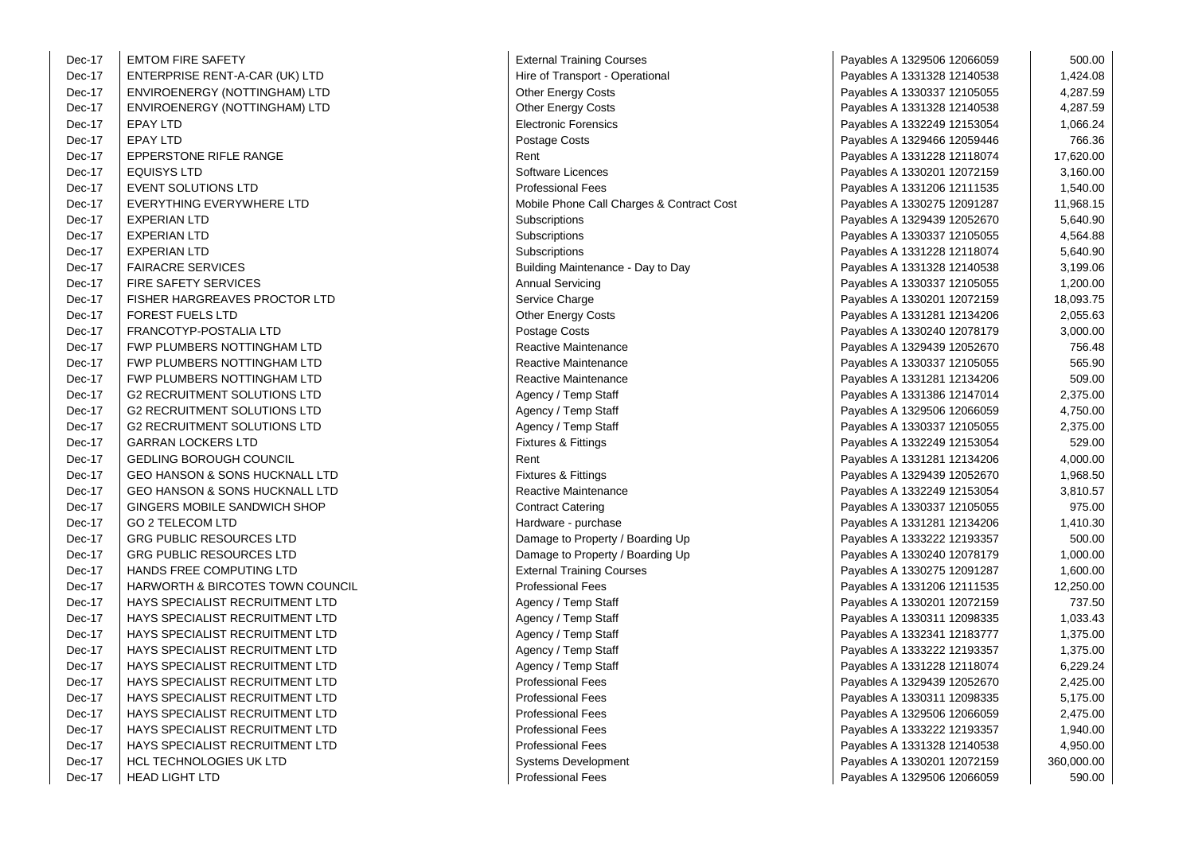| Dec-17 | <b>EMTOM FIRE SAFETY</b>                  | <b>External Training Courses</b>          | Payables A 1329506 12066059 | 500.00     |
|--------|-------------------------------------------|-------------------------------------------|-----------------------------|------------|
| Dec-17 | ENTERPRISE RENT-A-CAR (UK) LTD            | Hire of Transport - Operational           | Payables A 1331328 12140538 | 1,424.08   |
| Dec-17 | ENVIROENERGY (NOTTINGHAM) LTD             | Other Energy Costs                        | Payables A 1330337 12105055 | 4,287.59   |
| Dec-17 | ENVIROENERGY (NOTTINGHAM) LTD             | <b>Other Energy Costs</b>                 | Payables A 1331328 12140538 | 4,287.59   |
| Dec-17 | <b>EPAY LTD</b>                           | <b>Electronic Forensics</b>               | Payables A 1332249 12153054 | 1,066.24   |
| Dec-17 | <b>EPAY LTD</b>                           | Postage Costs                             | Payables A 1329466 12059446 | 766.36     |
| Dec-17 | <b>EPPERSTONE RIFLE RANGE</b>             | Rent                                      | Payables A 1331228 12118074 | 17,620.00  |
| Dec-17 | <b>EQUISYS LTD</b>                        | Software Licences                         | Payables A 1330201 12072159 | 3,160.00   |
| Dec-17 | <b>EVENT SOLUTIONS LTD</b>                | <b>Professional Fees</b>                  | Payables A 1331206 12111535 | 1,540.00   |
| Dec-17 | EVERYTHING EVERYWHERE LTD                 | Mobile Phone Call Charges & Contract Cost | Payables A 1330275 12091287 | 11,968.15  |
| Dec-17 | <b>EXPERIAN LTD</b>                       | Subscriptions                             | Payables A 1329439 12052670 | 5,640.90   |
| Dec-17 | <b>EXPERIAN LTD</b>                       | Subscriptions                             | Payables A 1330337 12105055 | 4,564.88   |
| Dec-17 | <b>EXPERIAN LTD</b>                       | Subscriptions                             | Payables A 1331228 12118074 | 5,640.90   |
| Dec-17 | <b>FAIRACRE SERVICES</b>                  | Building Maintenance - Day to Day         | Payables A 1331328 12140538 | 3,199.06   |
| Dec-17 | <b>FIRE SAFETY SERVICES</b>               | <b>Annual Servicing</b>                   | Payables A 1330337 12105055 | 1,200.00   |
| Dec-17 | <b>FISHER HARGREAVES PROCTOR LTD</b>      | Service Charge                            | Payables A 1330201 12072159 | 18,093.75  |
| Dec-17 | <b>FOREST FUELS LTD</b>                   | <b>Other Energy Costs</b>                 | Payables A 1331281 12134206 | 2,055.63   |
| Dec-17 | FRANCOTYP-POSTALIA LTD                    | Postage Costs                             | Payables A 1330240 12078179 | 3,000.00   |
| Dec-17 | FWP PLUMBERS NOTTINGHAM LTD               | Reactive Maintenance                      | Payables A 1329439 12052670 | 756.48     |
| Dec-17 | FWP PLUMBERS NOTTINGHAM LTD               | <b>Reactive Maintenance</b>               | Payables A 1330337 12105055 | 565.90     |
| Dec-17 | FWP PLUMBERS NOTTINGHAM LTD               | Reactive Maintenance                      | Payables A 1331281 12134206 | 509.00     |
| Dec-17 | <b>G2 RECRUITMENT SOLUTIONS LTD</b>       | Agency / Temp Staff                       | Payables A 1331386 12147014 | 2,375.00   |
| Dec-17 | <b>G2 RECRUITMENT SOLUTIONS LTD</b>       | Agency / Temp Staff                       | Payables A 1329506 12066059 | 4,750.00   |
| Dec-17 | <b>G2 RECRUITMENT SOLUTIONS LTD</b>       | Agency / Temp Staff                       | Payables A 1330337 12105055 | 2,375.00   |
| Dec-17 | <b>GARRAN LOCKERS LTD</b>                 | Fixtures & Fittings                       | Payables A 1332249 12153054 | 529.00     |
| Dec-17 | <b>GEDLING BOROUGH COUNCIL</b>            | Rent                                      | Payables A 1331281 12134206 | 4,000.00   |
| Dec-17 | <b>GEO HANSON &amp; SONS HUCKNALL LTD</b> | <b>Fixtures &amp; Fittings</b>            | Payables A 1329439 12052670 | 1,968.50   |
| Dec-17 | GEO HANSON & SONS HUCKNALL LTD            | Reactive Maintenance                      | Payables A 1332249 12153054 | 3,810.57   |
| Dec-17 | GINGERS MOBILE SANDWICH SHOP              | <b>Contract Catering</b>                  | Payables A 1330337 12105055 | 975.00     |
| Dec-17 | <b>GO 2 TELECOM LTD</b>                   | Hardware - purchase                       | Payables A 1331281 12134206 | 1,410.30   |
| Dec-17 | <b>GRG PUBLIC RESOURCES LTD</b>           | Damage to Property / Boarding Up          | Payables A 1333222 12193357 | 500.00     |
| Dec-17 | <b>GRG PUBLIC RESOURCES LTD</b>           | Damage to Property / Boarding Up          | Payables A 1330240 12078179 | 1,000.00   |
| Dec-17 | HANDS FREE COMPUTING LTD                  | <b>External Training Courses</b>          | Payables A 1330275 12091287 | 1,600.00   |
| Dec-17 | HARWORTH & BIRCOTES TOWN COUNCIL          | <b>Professional Fees</b>                  | Payables A 1331206 12111535 | 12,250.00  |
| Dec-17 | HAYS SPECIALIST RECRUITMENT LTD           | Agency / Temp Staff                       | Payables A 1330201 12072159 | 737.50     |
| Dec-17 | HAYS SPECIALIST RECRUITMENT LTD           | Agency / Temp Staff                       | Payables A 1330311 12098335 | 1,033.43   |
| Dec-17 | HAYS SPECIALIST RECRUITMENT LTD           | Agency / Temp Staff                       | Payables A 1332341 12183777 | 1,375.00   |
| Dec-17 | HAYS SPECIALIST RECRUITMENT LTD           | Agency / Temp Staff                       | Payables A 1333222 12193357 | 1,375.00   |
| Dec-17 | HAYS SPECIALIST RECRUITMENT LTD           | Agency / Temp Staff                       | Payables A 1331228 12118074 | 6,229.24   |
| Dec-17 | <b>HAYS SPECIALIST RECRUITMENT LTD</b>    | <b>Professional Fees</b>                  | Payables A 1329439 12052670 | 2,425.00   |
| Dec-17 | HAYS SPECIALIST RECRUITMENT LTD           | <b>Professional Fees</b>                  | Payables A 1330311 12098335 | 5,175.00   |
| Dec-17 | HAYS SPECIALIST RECRUITMENT LTD           | <b>Professional Fees</b>                  | Payables A 1329506 12066059 | 2,475.00   |
| Dec-17 | HAYS SPECIALIST RECRUITMENT LTD           | <b>Professional Fees</b>                  | Payables A 1333222 12193357 | 1,940.00   |
| Dec-17 | HAYS SPECIALIST RECRUITMENT LTD           | <b>Professional Fees</b>                  | Payables A 1331328 12140538 | 4,950.00   |
| Dec-17 | HCL TECHNOLOGIES UK LTD                   | <b>Systems Development</b>                | Payables A 1330201 12072159 | 360,000.00 |
| Dec-17 | <b>HEAD LIGHT LTD</b>                     | <b>Professional Fees</b>                  | Payables A 1329506 12066059 | 590.00     |

| <b>External Training Courses</b>       |
|----------------------------------------|
| Hire of Transport - Operational        |
| Other Energy Costs                     |
| Other Energy Costs                     |
| <b>Electronic Forensics</b>            |
| Postage Costs                          |
| Rent                                   |
| Software Licences                      |
| <b>Professional Fees</b>               |
| Mobile Phone Call Charges & Contract C |
| Subscriptions                          |
| Subscriptions                          |
| Subscriptions                          |
| Building Maintenance - Day to Day      |
| <b>Annual Servicing</b>                |
| Service Charge                         |
| <b>Other Energy Costs</b>              |
| Postage Costs                          |
| Reactive Maintenance                   |
| <b>Reactive Maintenance</b>            |
| <b>Reactive Maintenance</b>            |
| Agency / Temp Staff                    |
|                                        |
| Agency / Temp Staff                    |
| Agency / Temp Staff                    |
| Fixtures & Fittings                    |
| Rent                                   |
| Fixtures & Fittings                    |
| Reactive Maintenance                   |
| <b>Contract Catering</b>               |
| Hardware - purchase                    |
| Damage to Property / Boarding Up       |
| Damage to Property / Boarding Up       |
| <b>External Training Courses</b>       |
| <b>Professional Fees</b>               |
| Agency / Temp Staff                    |
| Agency / Temp Staff                    |
| Agency / Temp Staff                    |
| Agency / Temp Staff                    |
| Agency / Temp Staff                    |
| <b>Professional Fees</b>               |
| <b>Professional Fees</b>               |
| <b>Professional Fees</b>               |
| <b>Professional Fees</b>               |
| <b>Professional Fees</b>               |
| Systems Development                    |
| <b>Professional Fees</b>               |
|                                        |

| -17 | <b>EMTOM FIRE SAFETY</b>                    | <b>External Training Courses</b>                | Payables A 1329506 12066059 | 500.00     |
|-----|---------------------------------------------|-------------------------------------------------|-----------------------------|------------|
| -17 | ENTERPRISE RENT-A-CAR (UK) LTD              | Hire of Transport - Operational                 | Payables A 1331328 12140538 | 1,424.08   |
| -17 | ENVIROENERGY (NOTTINGHAM) LTD               | Other Energy Costs                              | Payables A 1330337 12105055 | 4,287.59   |
| -17 | ENVIROENERGY (NOTTINGHAM) LTD               | Other Energy Costs                              | Payables A 1331328 12140538 | 4,287.59   |
| -17 | <b>EPAY LTD</b>                             | <b>Electronic Forensics</b>                     | Payables A 1332249 12153054 | 1,066.24   |
| -17 | <b>EPAY LTD</b>                             | Postage Costs                                   | Payables A 1329466 12059446 | 766.36     |
| -17 | <b>EPPERSTONE RIFLE RANGE</b>               | Rent                                            | Payables A 1331228 12118074 | 17,620.00  |
| -17 | <b>EQUISYS LTD</b>                          | Software Licences                               | Payables A 1330201 12072159 | 3,160.00   |
| -17 | <b>EVENT SOLUTIONS LTD</b>                  | <b>Professional Fees</b>                        | Payables A 1331206 12111535 | 1,540.00   |
| -17 | EVERYTHING EVERYWHERE LTD                   | Mobile Phone Call Charges & Contract Cost       | Payables A 1330275 12091287 | 11,968.15  |
| -17 | <b>EXPERIAN LTD</b>                         | Subscriptions                                   | Payables A 1329439 12052670 | 5,640.90   |
| -17 | <b>EXPERIAN LTD</b>                         | Subscriptions                                   | Payables A 1330337 12105055 | 4,564.88   |
| -17 | <b>EXPERIAN LTD</b>                         | Subscriptions                                   | Payables A 1331228 12118074 | 5,640.90   |
| -17 | <b>FAIRACRE SERVICES</b>                    | Building Maintenance - Day to Day               | Payables A 1331328 12140538 | 3,199.06   |
| -17 | FIRE SAFETY SERVICES                        | <b>Annual Servicing</b>                         | Payables A 1330337 12105055 | 1,200.00   |
| -17 | FISHER HARGREAVES PROCTOR LTD               | Service Charge                                  | Payables A 1330201 12072159 | 18,093.75  |
| -17 | <b>FOREST FUELS LTD</b>                     | Other Energy Costs                              | Payables A 1331281 12134206 | 2,055.63   |
| -17 | FRANCOTYP-POSTALIA LTD                      | Postage Costs                                   | Payables A 1330240 12078179 | 3,000.00   |
| -17 | FWP PLUMBERS NOTTINGHAM LTD                 | Reactive Maintenance                            | Payables A 1329439 12052670 | 756.48     |
| -17 | FWP PLUMBERS NOTTINGHAM LTD                 | <b>Reactive Maintenance</b>                     | Payables A 1330337 12105055 | 565.90     |
| -17 | FWP PLUMBERS NOTTINGHAM LTD                 | Reactive Maintenance                            | Payables A 1331281 12134206 | 509.00     |
| -17 | <b>G2 RECRUITMENT SOLUTIONS LTD</b>         | Agency / Temp Staff                             | Payables A 1331386 12147014 | 2,375.00   |
| -17 | <b>G2 RECRUITMENT SOLUTIONS LTD</b>         | Agency / Temp Staff                             | Payables A 1329506 12066059 | 4,750.00   |
| -17 | <b>G2 RECRUITMENT SOLUTIONS LTD</b>         | Agency / Temp Staff                             | Payables A 1330337 12105055 | 2,375.00   |
| -17 | <b>GARRAN LOCKERS LTD</b>                   | <b>Fixtures &amp; Fittings</b>                  | Payables A 1332249 12153054 | 529.00     |
| -17 | <b>GEDLING BOROUGH COUNCIL</b>              | Rent                                            | Payables A 1331281 12134206 | 4,000.00   |
| -17 | <b>GEO HANSON &amp; SONS HUCKNALL LTD</b>   | Fixtures & Fittings                             | Payables A 1329439 12052670 | 1,968.50   |
| -17 | <b>GEO HANSON &amp; SONS HUCKNALL LTD</b>   | Reactive Maintenance                            | Payables A 1332249 12153054 | 3,810.57   |
| -17 | GINGERS MOBILE SANDWICH SHOP                | <b>Contract Catering</b>                        | Payables A 1330337 12105055 | 975.00     |
| -17 | <b>GO 2 TELECOM LTD</b>                     | Hardware - purchase                             | Payables A 1331281 12134206 | 1,410.30   |
| -17 | <b>GRG PUBLIC RESOURCES LTD</b>             | Damage to Property / Boarding Up                | Payables A 1333222 12193357 | 500.00     |
| -17 | <b>GRG PUBLIC RESOURCES LTD</b>             | Damage to Property / Boarding Up                | Payables A 1330240 12078179 | 1,000.00   |
| -17 | HANDS FREE COMPUTING LTD                    | <b>External Training Courses</b>                | Payables A 1330275 12091287 | 1,600.00   |
| -17 | <b>HARWORTH &amp; BIRCOTES TOWN COUNCIL</b> | <b>Professional Fees</b>                        | Payables A 1331206 12111535 | 12,250.00  |
| -17 | HAYS SPECIALIST RECRUITMENT LTD             | Agency / Temp Staff                             | Payables A 1330201 12072159 | 737.50     |
| -17 | HAYS SPECIALIST RECRUITMENT LTD             | Agency / Temp Staff                             | Payables A 1330311 12098335 | 1,033.43   |
| -17 | HAYS SPECIALIST RECRUITMENT LTD             | Agency / Temp Staff                             | Payables A 1332341 12183777 | 1,375.00   |
| -17 | HAYS SPECIALIST RECRUITMENT LTD             | Agency / Temp Staff                             | Payables A 1333222 12193357 | 1,375.00   |
| -17 | HAYS SPECIALIST RECRUITMENT LTD             |                                                 | Payables A 1331228 12118074 | 6,229.24   |
|     |                                             | Agency / Temp Staff<br><b>Professional Fees</b> |                             |            |
| -17 | HAYS SPECIALIST RECRUITMENT LTD             |                                                 | Payables A 1329439 12052670 | 2,425.00   |
| -17 | HAYS SPECIALIST RECRUITMENT LTD             | <b>Professional Fees</b>                        | Payables A 1330311 12098335 | 5,175.00   |
| -17 | HAYS SPECIALIST RECRUITMENT LTD             | <b>Professional Fees</b>                        | Payables A 1329506 12066059 | 2,475.00   |
| -17 | HAYS SPECIALIST RECRUITMENT LTD             | <b>Professional Fees</b>                        | Payables A 1333222 12193357 | 1,940.00   |
| -17 | HAYS SPECIALIST RECRUITMENT LTD             | <b>Professional Fees</b>                        | Payables A 1331328 12140538 | 4,950.00   |
| -17 | HCL TECHNOLOGIES UK LTD                     | <b>Systems Development</b>                      | Payables A 1330201 12072159 | 360,000.00 |
| -17 | <b>HEAD LIGHT LTD</b>                       | <b>Professional Fees</b>                        | Pavables A 1329506 12066059 | 590.00     |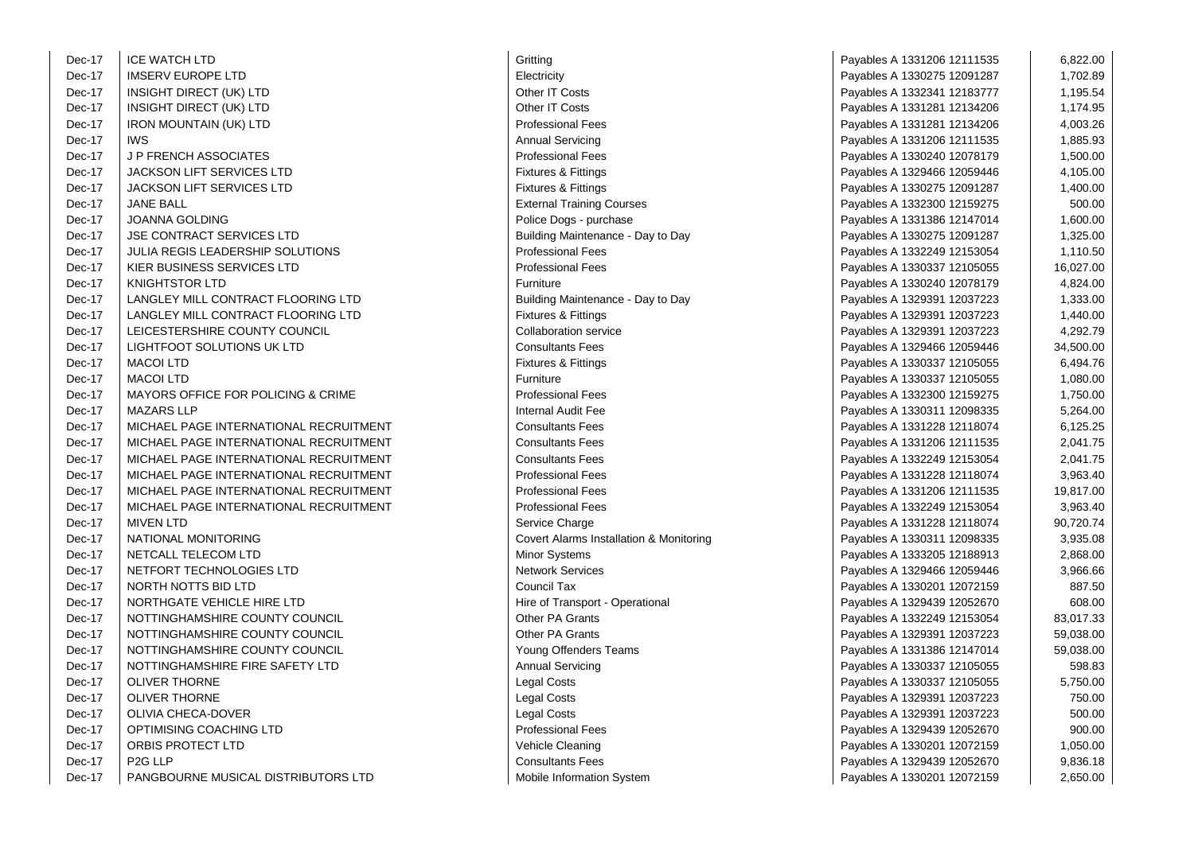| Dec-17 | <b>ICE WATCH LTD</b>                    | Gritting                                | Payables A 1331206 12111535 | 6,822.00  |
|--------|-----------------------------------------|-----------------------------------------|-----------------------------|-----------|
| Dec-17 | <b>IMSERV EUROPE LTD</b>                | Electricity                             | Payables A 1330275 12091287 | 1,702.89  |
| Dec-17 | INSIGHT DIRECT (UK) LTD                 | Other IT Costs                          | Payables A 1332341 12183777 | 1,195.54  |
| Dec-17 | INSIGHT DIRECT (UK) LTD                 | Other IT Costs                          | Payables A 1331281 12134206 | 1,174.95  |
| Dec-17 | <b>IRON MOUNTAIN (UK) LTD</b>           | <b>Professional Fees</b>                | Payables A 1331281 12134206 | 4,003.26  |
| Dec-17 | <b>IWS</b>                              | <b>Annual Servicing</b>                 | Payables A 1331206 12111535 | 1,885.93  |
| Dec-17 | J P FRENCH ASSOCIATES                   | <b>Professional Fees</b>                | Payables A 1330240 12078179 | 1,500.00  |
| Dec-17 | <b>JACKSON LIFT SERVICES LTD</b>        | <b>Fixtures &amp; Fittings</b>          | Payables A 1329466 12059446 | 4,105.00  |
| Dec-17 | <b>JACKSON LIFT SERVICES LTD</b>        | Fixtures & Fittings                     | Payables A 1330275 12091287 | 1,400.00  |
| Dec-17 | JANE BALL                               | <b>External Training Courses</b>        | Payables A 1332300 12159275 | 500.00    |
| Dec-17 | JOANNA GOLDING                          | Police Dogs - purchase                  | Payables A 1331386 12147014 | 1,600.00  |
| Dec-17 | JSE CONTRACT SERVICES LTD               | Building Maintenance - Day to Day       | Payables A 1330275 12091287 | 1,325.00  |
| Dec-17 | <b>JULIA REGIS LEADERSHIP SOLUTIONS</b> | <b>Professional Fees</b>                | Payables A 1332249 12153054 | 1,110.50  |
| Dec-17 | KIER BUSINESS SERVICES LTD              | <b>Professional Fees</b>                | Payables A 1330337 12105055 | 16,027.00 |
| Dec-17 | <b>KNIGHTSTOR LTD</b>                   | Furniture                               | Payables A 1330240 12078179 | 4,824.00  |
| Dec-17 | LANGLEY MILL CONTRACT FLOORING LTD      | Building Maintenance - Day to Day       | Payables A 1329391 12037223 | 1,333.00  |
| Dec-17 | LANGLEY MILL CONTRACT FLOORING LTD      | Fixtures & Fittings                     | Payables A 1329391 12037223 | 1,440.00  |
| Dec-17 | LEICESTERSHIRE COUNTY COUNCIL           | <b>Collaboration service</b>            | Payables A 1329391 12037223 | 4,292.79  |
| Dec-17 | LIGHTFOOT SOLUTIONS UK LTD              | <b>Consultants Fees</b>                 | Payables A 1329466 12059446 | 34,500.00 |
| Dec-17 | <b>MACOI LTD</b>                        | <b>Fixtures &amp; Fittings</b>          | Payables A 1330337 12105055 | 6,494.76  |
| Dec-17 | <b>MACOI LTD</b>                        | Furniture                               | Payables A 1330337 12105055 | 1,080.00  |
| Dec-17 | MAYORS OFFICE FOR POLICING & CRIME      | <b>Professional Fees</b>                | Payables A 1332300 12159275 | 1,750.00  |
| Dec-17 | <b>MAZARS LLP</b>                       | <b>Internal Audit Fee</b>               | Payables A 1330311 12098335 | 5,264.00  |
| Dec-17 | MICHAEL PAGE INTERNATIONAL RECRUITMENT  | <b>Consultants Fees</b>                 | Payables A 1331228 12118074 | 6,125.25  |
| Dec-17 | MICHAEL PAGE INTERNATIONAL RECRUITMENT  | <b>Consultants Fees</b>                 | Payables A 1331206 12111535 | 2,041.75  |
| Dec-17 | MICHAEL PAGE INTERNATIONAL RECRUITMENT  | <b>Consultants Fees</b>                 | Payables A 1332249 12153054 | 2,041.75  |
| Dec-17 | MICHAEL PAGE INTERNATIONAL RECRUITMENT  | <b>Professional Fees</b>                | Payables A 1331228 12118074 | 3,963.40  |
| Dec-17 | MICHAEL PAGE INTERNATIONAL RECRUITMENT  | <b>Professional Fees</b>                | Payables A 1331206 12111535 | 19,817.00 |
| Dec-17 | MICHAEL PAGE INTERNATIONAL RECRUITMENT  | <b>Professional Fees</b>                | Payables A 1332249 12153054 | 3,963.40  |
| Dec-17 | <b>MIVEN LTD</b>                        | Service Charge                          | Payables A 1331228 12118074 | 90,720.74 |
| Dec-17 | NATIONAL MONITORING                     | Covert Alarms Installation & Monitoring | Payables A 1330311 12098335 | 3,935.08  |
| Dec-17 | NETCALL TELECOM LTD                     | Minor Systems                           | Payables A 1333205 12188913 | 2,868.00  |
| Dec-17 | NETFORT TECHNOLOGIES LTD                | <b>Network Services</b>                 | Payables A 1329466 12059446 | 3,966.66  |
| Dec-17 | NORTH NOTTS BID LTD                     | Council Tax                             | Payables A 1330201 12072159 | 887.50    |
| Dec-17 | NORTHGATE VEHICLE HIRE LTD              | Hire of Transport - Operational         | Payables A 1329439 12052670 | 608.00    |
| Dec-17 | NOTTINGHAMSHIRE COUNTY COUNCIL          | <b>Other PA Grants</b>                  | Payables A 1332249 12153054 | 83,017.33 |
| Dec-17 | NOTTINGHAMSHIRE COUNTY COUNCIL          | Other PA Grants                         | Payables A 1329391 12037223 | 59,038.00 |
| Dec-17 | NOTTINGHAMSHIRE COUNTY COUNCIL          | Young Offenders Teams                   | Payables A 1331386 12147014 | 59,038.00 |
| Dec-17 | NOTTINGHAMSHIRE FIRE SAFETY LTD         | Annual Servicing                        | Payables A 1330337 12105055 | 598.83    |
| Dec-17 | <b>OLIVER THORNE</b>                    | <b>Legal Costs</b>                      | Payables A 1330337 12105055 | 5,750.00  |
| Dec-17 | <b>OLIVER THORNE</b>                    | Legal Costs                             | Payables A 1329391 12037223 | 750.00    |
| Dec-17 | OLIVIA CHECA-DOVER                      | Legal Costs                             | Payables A 1329391 12037223 | 500.00    |
| Dec-17 | OPTIMISING COACHING LTD                 | <b>Professional Fees</b>                | Payables A 1329439 12052670 | 900.00    |
| Dec-17 | ORBIS PROTECT LTD                       | Vehicle Cleaning                        | Payables A 1330201 12072159 | 1,050.00  |
| Dec-17 | P <sub>2G</sub> LLP                     | <b>Consultants Fees</b>                 | Payables A 1329439 12052670 | 9,836.18  |
| Dec-17 | PANGBOURNE MUSICAL DISTRIBUTORS LTD     | Mobile Information System               | Payables A 1330201 12072159 | 2,650.00  |

| Electricity<br>Other IT Costs<br>Other IT Costs<br><b>Professional Fees</b><br>Annual Servicing<br><b>Professional Fees</b><br><b>Fixtures &amp; Fittings</b><br>Fixtures & Fittings<br><b>External Training Courses</b><br>Police Dogs - purchase<br>Building Maintenance - Day to Day<br><b>Professional Fees</b><br><b>Professional Fees</b><br>Furniture<br>Building Maintenance - Day to Day |
|---------------------------------------------------------------------------------------------------------------------------------------------------------------------------------------------------------------------------------------------------------------------------------------------------------------------------------------------------------------------------------------------------|
|                                                                                                                                                                                                                                                                                                                                                                                                   |
|                                                                                                                                                                                                                                                                                                                                                                                                   |
|                                                                                                                                                                                                                                                                                                                                                                                                   |
|                                                                                                                                                                                                                                                                                                                                                                                                   |
|                                                                                                                                                                                                                                                                                                                                                                                                   |
|                                                                                                                                                                                                                                                                                                                                                                                                   |
|                                                                                                                                                                                                                                                                                                                                                                                                   |
|                                                                                                                                                                                                                                                                                                                                                                                                   |
|                                                                                                                                                                                                                                                                                                                                                                                                   |
|                                                                                                                                                                                                                                                                                                                                                                                                   |
|                                                                                                                                                                                                                                                                                                                                                                                                   |
|                                                                                                                                                                                                                                                                                                                                                                                                   |
|                                                                                                                                                                                                                                                                                                                                                                                                   |
|                                                                                                                                                                                                                                                                                                                                                                                                   |
|                                                                                                                                                                                                                                                                                                                                                                                                   |
| <b>Fixtures &amp; Fittings</b>                                                                                                                                                                                                                                                                                                                                                                    |
| <b>Collaboration service</b>                                                                                                                                                                                                                                                                                                                                                                      |
| <b>Consultants Fees</b>                                                                                                                                                                                                                                                                                                                                                                           |
| <b>Fixtures &amp; Fittings</b>                                                                                                                                                                                                                                                                                                                                                                    |
| Furniture                                                                                                                                                                                                                                                                                                                                                                                         |
| <b>Professional Fees</b>                                                                                                                                                                                                                                                                                                                                                                          |
| <b>Internal Audit Fee</b>                                                                                                                                                                                                                                                                                                                                                                         |
| <b>Consultants Fees</b>                                                                                                                                                                                                                                                                                                                                                                           |
| <b>Consultants Fees</b>                                                                                                                                                                                                                                                                                                                                                                           |
| <b>Consultants Fees</b>                                                                                                                                                                                                                                                                                                                                                                           |
| <b>Professional Fees</b>                                                                                                                                                                                                                                                                                                                                                                          |
| <b>Professional Fees</b>                                                                                                                                                                                                                                                                                                                                                                          |
| <b>Professional Fees</b>                                                                                                                                                                                                                                                                                                                                                                          |
| Service Charge                                                                                                                                                                                                                                                                                                                                                                                    |
| Covert Alarms Installation & Monitoring                                                                                                                                                                                                                                                                                                                                                           |
| Minor Systems                                                                                                                                                                                                                                                                                                                                                                                     |
| <b>Network Services</b>                                                                                                                                                                                                                                                                                                                                                                           |
| Council Tax                                                                                                                                                                                                                                                                                                                                                                                       |
| Hire of Transport - Operational                                                                                                                                                                                                                                                                                                                                                                   |
| <b>Other PA Grants</b>                                                                                                                                                                                                                                                                                                                                                                            |
| Other PA Grants                                                                                                                                                                                                                                                                                                                                                                                   |
| Young Offenders Teams                                                                                                                                                                                                                                                                                                                                                                             |
| Annual Servicing                                                                                                                                                                                                                                                                                                                                                                                  |
| Legal Costs                                                                                                                                                                                                                                                                                                                                                                                       |
| Legal Costs                                                                                                                                                                                                                                                                                                                                                                                       |
|                                                                                                                                                                                                                                                                                                                                                                                                   |
| Legal Costs                                                                                                                                                                                                                                                                                                                                                                                       |
| <b>Professional Fees</b>                                                                                                                                                                                                                                                                                                                                                                          |
| Vehicle Cleaning                                                                                                                                                                                                                                                                                                                                                                                  |
| <b>Consultants Fees</b>                                                                                                                                                                                                                                                                                                                                                                           |

| D                            | Gritting                                | Payables A 1331206 12111535 | 6,822.00  |
|------------------------------|-----------------------------------------|-----------------------------|-----------|
| PE LTD                       | Electricity                             | Payables A 1330275 12091287 | 1,702.89  |
| CT (UK) LTD                  | Other IT Costs                          | Payables A 1332341 12183777 | 1,195.54  |
| CT (UK) LTD                  | Other IT Costs                          | Payables A 1331281 12134206 | 1,174.95  |
| IN (UK) LTD                  | <b>Professional Fees</b>                | Payables A 1331281 12134206 | 4,003.26  |
|                              | <b>Annual Servicing</b>                 | Payables A 1331206 12111535 | 1,885.93  |
| SSOCIATES                    | <b>Professional Fees</b>                | Payables A 1330240 12078179 | 1,500.00  |
| <b>SERVICES LTD</b>          | <b>Fixtures &amp; Fittings</b>          | Payables A 1329466 12059446 | 4,105.00  |
| <b>SERVICES LTD</b>          | <b>Fixtures &amp; Fittings</b>          | Payables A 1330275 12091287 | 1,400.00  |
|                              | <b>External Training Courses</b>        | Payables A 1332300 12159275 | 500.00    |
| ING                          | Police Dogs - purchase                  | Payables A 1331386 12147014 | 1,600.00  |
| <b>T SERVICES LTD</b>        | Building Maintenance - Day to Day       | Payables A 1330275 12091287 | 1,325.00  |
| EADERSHIP SOLUTIONS          | <b>Professional Fees</b>                | Payables A 1332249 12153054 | 1,110.50  |
| S SERVICES LTD               | <b>Professional Fees</b>                | Payables A 1330337 12105055 | 16,027.00 |
| LTD                          | Furniture                               | Payables A 1330240 12078179 | 4,824.00  |
| . CONTRACT FLOORING LTD      | Building Maintenance - Day to Day       | Payables A 1329391 12037223 | 1,333.00  |
| <b>CONTRACT FLOORING LTD</b> | <b>Fixtures &amp; Fittings</b>          | Payables A 1329391 12037223 | 1,440.00  |
| IRE COUNTY COUNCIL           | <b>Collaboration service</b>            | Payables A 1329391 12037223 | 4,292.79  |
| )LUTIONS UK LTD              | <b>Consultants Fees</b>                 | Payables A 1329466 12059446 | 34,500.00 |
|                              | <b>Fixtures &amp; Fittings</b>          | Payables A 1330337 12105055 | 6,494.76  |
|                              | Furniture                               | Payables A 1330337 12105055 | 1,080.00  |
| CE FOR POLICING & CRIME      | <b>Professional Fees</b>                | Payables A 1332300 12159275 | 1,750.00  |
|                              | <b>Internal Audit Fee</b>               | Payables A 1330311 12098335 | 5,264.00  |
| E INTERNATIONAL RECRUITMENT  | <b>Consultants Fees</b>                 | Payables A 1331228 12118074 | 6,125.25  |
| E INTERNATIONAL RECRUITMENT  | <b>Consultants Fees</b>                 | Payables A 1331206 12111535 | 2,041.75  |
| E INTERNATIONAL RECRUITMENT  | <b>Consultants Fees</b>                 | Payables A 1332249 12153054 | 2,041.75  |
| E INTERNATIONAL RECRUITMENT  | <b>Professional Fees</b>                | Payables A 1331228 12118074 | 3,963.40  |
| E INTERNATIONAL RECRUITMENT  | <b>Professional Fees</b>                | Payables A 1331206 12111535 | 19,817.00 |
| E INTERNATIONAL RECRUITMENT  | <b>Professional Fees</b>                | Payables A 1332249 12153054 | 3,963.40  |
|                              | Service Charge                          | Payables A 1331228 12118074 | 90,720.74 |
| NITORING                     | Covert Alarms Installation & Monitoring | Payables A 1330311 12098335 | 3,935.08  |
| COM LTD                      | <b>Minor Systems</b>                    | Payables A 1333205 12188913 | 2,868.00  |
| HNOLOGIES LTD                | <b>Network Services</b>                 | Payables A 1329466 12059446 | 3,966.66  |
| <b>BID LTD</b>               | Council Tax                             | Payables A 1330201 12072159 | 887.50    |
| <b>EHICLE HIRE LTD</b>       | Hire of Transport - Operational         | Payables A 1329439 12052670 | 608.00    |
| SHIRE COUNTY COUNCIL         | <b>Other PA Grants</b>                  | Payables A 1332249 12153054 | 83,017.33 |
| SHIRE COUNTY COUNCIL         | <b>Other PA Grants</b>                  | Payables A 1329391 12037223 | 59,038.00 |
| SHIRE COUNTY COUNCIL         | Young Offenders Teams                   | Payables A 1331386 12147014 | 59,038.00 |
| SHIRE FIRE SAFETY LTD        | <b>Annual Servicing</b>                 | Payables A 1330337 12105055 | 598.83    |
| ΝE                           | Legal Costs                             | Payables A 1330337 12105055 | 5,750.00  |
| ΝE                           | <b>Legal Costs</b>                      | Payables A 1329391 12037223 | 750.00    |
| -DOVER                       | <b>Legal Costs</b>                      | Payables A 1329391 12037223 | 500.00    |
| OACHING LTD                  | <b>Professional Fees</b>                | Payables A 1329439 12052670 | 900.00    |
| CT LTD                       | <b>Vehicle Cleaning</b>                 | Payables A 1330201 12072159 | 1,050.00  |
|                              | <b>Consultants Fees</b>                 | Payables A 1329439 12052670 | 9,836.18  |
| MUSICAL DISTRIBUTORS LTD     | Mobile Information System               | Pavables A 1330201 12072159 | 2.650.00  |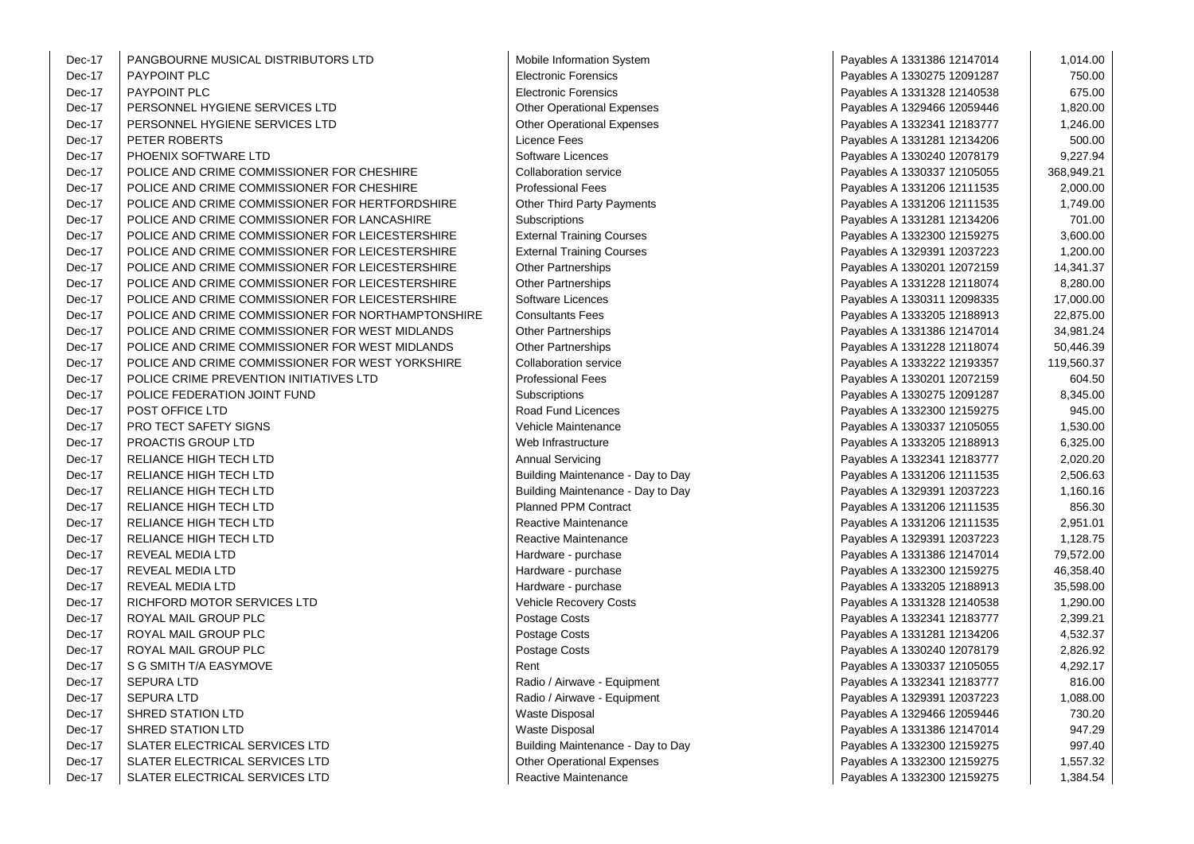| Dec-17 | PANGBOURNE MUSICAL DISTRIBUTORS LTD                | Mobile Information System         | Payables A 1331386 12147014 | 1,014.00   |
|--------|----------------------------------------------------|-----------------------------------|-----------------------------|------------|
| Dec-17 | PAYPOINT PLC                                       | <b>Electronic Forensics</b>       | Payables A 1330275 12091287 | 750.00     |
| Dec-17 | PAYPOINT PLC                                       | <b>Electronic Forensics</b>       | Payables A 1331328 12140538 | 675.00     |
| Dec-17 | PERSONNEL HYGIENE SERVICES LTD                     | <b>Other Operational Expenses</b> | Payables A 1329466 12059446 | 1,820.00   |
| Dec-17 | PERSONNEL HYGIENE SERVICES LTD                     | <b>Other Operational Expenses</b> | Payables A 1332341 12183777 | 1,246.00   |
| Dec-17 | PETER ROBERTS                                      | Licence Fees                      | Payables A 1331281 12134206 | 500.00     |
| Dec-17 | PHOENIX SOFTWARE LTD                               | Software Licences                 | Payables A 1330240 12078179 | 9,227.94   |
| Dec-17 | POLICE AND CRIME COMMISSIONER FOR CHESHIRE         | <b>Collaboration service</b>      | Payables A 1330337 12105055 | 368,949.21 |
| Dec-17 | POLICE AND CRIME COMMISSIONER FOR CHESHIRE         | <b>Professional Fees</b>          | Payables A 1331206 12111535 | 2,000.00   |
| Dec-17 | POLICE AND CRIME COMMISSIONER FOR HERTFORDSHIRE    | <b>Other Third Party Payments</b> | Payables A 1331206 12111535 | 1,749.00   |
| Dec-17 | POLICE AND CRIME COMMISSIONER FOR LANCASHIRE       | Subscriptions                     | Payables A 1331281 12134206 | 701.00     |
| Dec-17 | POLICE AND CRIME COMMISSIONER FOR LEICESTERSHIRE   | <b>External Training Courses</b>  | Payables A 1332300 12159275 | 3,600.00   |
| Dec-17 | POLICE AND CRIME COMMISSIONER FOR LEICESTERSHIRE   | <b>External Training Courses</b>  | Payables A 1329391 12037223 | 1,200.00   |
| Dec-17 | POLICE AND CRIME COMMISSIONER FOR LEICESTERSHIRE   | <b>Other Partnerships</b>         | Payables A 1330201 12072159 | 14,341.37  |
| Dec-17 | POLICE AND CRIME COMMISSIONER FOR LEICESTERSHIRE   | <b>Other Partnerships</b>         | Payables A 1331228 12118074 | 8,280.00   |
| Dec-17 | POLICE AND CRIME COMMISSIONER FOR LEICESTERSHIRE   | Software Licences                 | Payables A 1330311 12098335 | 17,000.00  |
| Dec-17 | POLICE AND CRIME COMMISSIONER FOR NORTHAMPTONSHIRE | <b>Consultants Fees</b>           | Payables A 1333205 12188913 | 22,875.00  |
| Dec-17 | POLICE AND CRIME COMMISSIONER FOR WEST MIDLANDS    | <b>Other Partnerships</b>         | Payables A 1331386 12147014 | 34,981.24  |
| Dec-17 | POLICE AND CRIME COMMISSIONER FOR WEST MIDLANDS    | Other Partnerships                | Payables A 1331228 12118074 | 50,446.39  |
| Dec-17 | POLICE AND CRIME COMMISSIONER FOR WEST YORKSHIRE   | <b>Collaboration service</b>      | Payables A 1333222 12193357 | 119,560.37 |
| Dec-17 | POLICE CRIME PREVENTION INITIATIVES LTD            | <b>Professional Fees</b>          | Payables A 1330201 12072159 | 604.50     |
| Dec-17 | POLICE FEDERATION JOINT FUND                       | Subscriptions                     | Payables A 1330275 12091287 | 8,345.00   |
| Dec-17 | POST OFFICE LTD                                    | Road Fund Licences                | Payables A 1332300 12159275 | 945.00     |
| Dec-17 | PRO TECT SAFETY SIGNS                              | Vehicle Maintenance               | Payables A 1330337 12105055 | 1,530.00   |
| Dec-17 | PROACTIS GROUP LTD                                 | Web Infrastructure                | Payables A 1333205 12188913 | 6,325.00   |
| Dec-17 | RELIANCE HIGH TECH LTD                             | <b>Annual Servicing</b>           | Payables A 1332341 12183777 | 2,020.20   |
| Dec-17 | <b>RELIANCE HIGH TECH LTD</b>                      | Building Maintenance - Day to Day | Payables A 1331206 12111535 | 2,506.63   |
| Dec-17 | RELIANCE HIGH TECH LTD                             | Building Maintenance - Day to Day | Payables A 1329391 12037223 | 1,160.16   |
| Dec-17 | RELIANCE HIGH TECH LTD                             | <b>Planned PPM Contract</b>       | Payables A 1331206 12111535 | 856.30     |
| Dec-17 | RELIANCE HIGH TECH LTD                             | Reactive Maintenance              | Payables A 1331206 12111535 | 2,951.01   |
| Dec-17 | RELIANCE HIGH TECH LTD                             | Reactive Maintenance              | Payables A 1329391 12037223 | 1,128.75   |
| Dec-17 | REVEAL MEDIA LTD                                   | Hardware - purchase               | Payables A 1331386 12147014 | 79,572.00  |
| Dec-17 | REVEAL MEDIA LTD                                   | Hardware - purchase               | Payables A 1332300 12159275 | 46,358.40  |
| Dec-17 | REVEAL MEDIA LTD                                   | Hardware - purchase               | Payables A 1333205 12188913 | 35,598.00  |
| Dec-17 | RICHFORD MOTOR SERVICES LTD                        | <b>Vehicle Recovery Costs</b>     | Payables A 1331328 12140538 | 1,290.00   |
| Dec-17 | ROYAL MAIL GROUP PLC                               | Postage Costs                     | Payables A 1332341 12183777 | 2,399.21   |
| Dec-17 | ROYAL MAIL GROUP PLC                               | Postage Costs                     | Payables A 1331281 12134206 | 4,532.37   |
| Dec-17 | ROYAL MAIL GROUP PLC                               | Postage Costs                     | Payables A 1330240 12078179 | 2,826.92   |
| Dec-17 | S G SMITH T/A EASYMOVE                             | Rent                              | Payables A 1330337 12105055 | 4,292.17   |
| Dec-17 | <b>SEPURA LTD</b>                                  | Radio / Airwave - Equipment       | Payables A 1332341 12183777 | 816.00     |
| Dec-17 | <b>SEPURA LTD</b>                                  | Radio / Airwave - Equipment       | Payables A 1329391 12037223 | 1,088.00   |
| Dec-17 | SHRED STATION LTD                                  | <b>Waste Disposal</b>             | Payables A 1329466 12059446 | 730.20     |
| Dec-17 | <b>SHRED STATION LTD</b>                           | <b>Waste Disposal</b>             | Payables A 1331386 12147014 | 947.29     |
| Dec-17 | SLATER ELECTRICAL SERVICES LTD                     | Building Maintenance - Day to Day | Payables A 1332300 12159275 | 997.40     |
| Dec-17 | SLATER ELECTRICAL SERVICES LTD                     | <b>Other Operational Expenses</b> | Payables A 1332300 12159275 | 1,557.32   |
| Dec-17 | SLATER ELECTRICAL SERVICES LTD                     | Reactive Maintenance              | Payables A 1332300 12159275 | 1,384.54   |

| Payables A 1331386 12147014 | 1,014.00   |
|-----------------------------|------------|
| Payables A 1330275 12091287 | 750.00     |
| Payables A 1331328 12140538 | 675.00     |
| Payables A 1329466 12059446 | 1,820.00   |
| Payables A 1332341 12183777 | 1,246.00   |
| Payables A 1331281 12134206 | 500.00     |
| Payables A 1330240 12078179 | 9,227.94   |
| Payables A 1330337 12105055 | 368,949.21 |
| Payables A 1331206 12111535 | 2,000.00   |
| Payables A 1331206 12111535 | 1,749.00   |
| Payables A 1331281 12134206 | 701.00     |
| Payables A 1332300 12159275 | 3,600.00   |
| Payables A 1329391 12037223 | 1,200.00   |
| Payables A 1330201 12072159 | 14,341.37  |
| Payables A 1331228 12118074 | 8,280.00   |
| Payables A 1330311 12098335 | 17,000.00  |
| Payables A 1333205 12188913 | 22,875.00  |
| Payables A 1331386 12147014 | 34,981.24  |
| Payables A 1331228 12118074 | 50,446.39  |
| Payables A 1333222 12193357 | 119,560.37 |
| Payables A 1330201 12072159 | 604.50     |
| Payables A 1330275 12091287 | 8,345.00   |
| Payables A 1332300 12159275 | 945.00     |
| Payables A 1330337 12105055 | 1,530.00   |
| Payables A 1333205 12188913 | 6,325.00   |
| Payables A 1332341 12183777 | 2,020.20   |
| Payables A 1331206 12111535 | 2,506.63   |
| Payables A 1329391 12037223 | 1,160.16   |
| Payables A 1331206 12111535 | 856.30     |
| Payables A 1331206 12111535 | 2,951.01   |
| Payables A 1329391 12037223 | 1,128.75   |
| Payables A 1331386 12147014 | 79,572.00  |
| Payables A 1332300 12159275 | 46,358.40  |
| Payables A 1333205 12188913 | 35,598.00  |
| Payables A 1331328 12140538 | 1,290.00   |
| Payables A 1332341 12183777 | 2,399.21   |
| Payables A 1331281 12134206 | 4,532.37   |
| Payables A 1330240 12078179 | 2,826.92   |
| Payables A 1330337 12105055 | 4,292.17   |
| Payables A 1332341 12183777 | 816.00     |
| Payables A 1329391 12037223 | 1,088.00   |
| Payables A 1329466 12059446 | 730.20     |
| Payables A 1331386 12147014 | 947.29     |
| Payables A 1332300 12159275 | 997.40     |
| Payables A 1332300 12159275 | 1,557.32   |
| Pavables A 1332300 12159275 | 1.384.54   |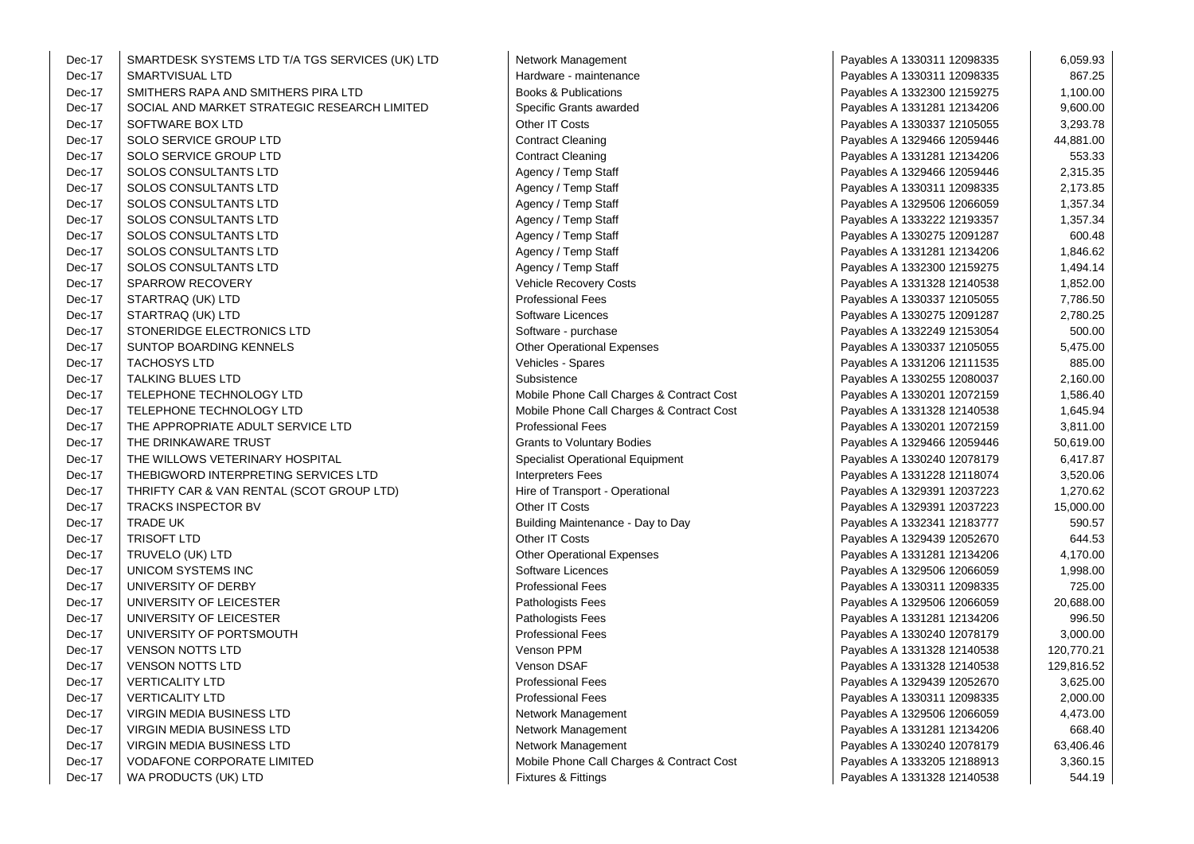| Dec-17 | SMARTDESK SYSTEMS LTD T/A TGS SERVICES (UK) LTD | Network Management                        | Payables A 1330311 12098335 | 6,059.93   |
|--------|-------------------------------------------------|-------------------------------------------|-----------------------------|------------|
| Dec-17 | SMARTVISUAL LTD                                 | Hardware - maintenance                    | Payables A 1330311 12098335 | 867.25     |
| Dec-17 | SMITHERS RAPA AND SMITHERS PIRA LTD             | <b>Books &amp; Publications</b>           | Payables A 1332300 12159275 | 1,100.00   |
| Dec-17 | SOCIAL AND MARKET STRATEGIC RESEARCH LIMITED    | Specific Grants awarded                   | Payables A 1331281 12134206 | 9,600.00   |
| Dec-17 | SOFTWARE BOX LTD                                | Other IT Costs                            | Payables A 1330337 12105055 | 3,293.78   |
| Dec-17 | SOLO SERVICE GROUP LTD                          | <b>Contract Cleaning</b>                  | Payables A 1329466 12059446 | 44,881.00  |
| Dec-17 | SOLO SERVICE GROUP LTD                          | <b>Contract Cleaning</b>                  | Payables A 1331281 12134206 | 553.33     |
| Dec-17 | SOLOS CONSULTANTS LTD                           | Agency / Temp Staff                       | Payables A 1329466 12059446 | 2,315.35   |
| Dec-17 | SOLOS CONSULTANTS LTD                           | Agency / Temp Staff                       | Payables A 1330311 12098335 | 2,173.85   |
| Dec-17 | SOLOS CONSULTANTS LTD                           | Agency / Temp Staff                       | Payables A 1329506 12066059 | 1,357.34   |
| Dec-17 | SOLOS CONSULTANTS LTD                           | Agency / Temp Staff                       | Payables A 1333222 12193357 | 1,357.34   |
| Dec-17 | SOLOS CONSULTANTS LTD                           | Agency / Temp Staff                       | Payables A 1330275 12091287 | 600.48     |
| Dec-17 | SOLOS CONSULTANTS LTD                           | Agency / Temp Staff                       | Payables A 1331281 12134206 | 1,846.62   |
| Dec-17 | SOLOS CONSULTANTS LTD                           | Agency / Temp Staff                       | Payables A 1332300 12159275 | 1,494.14   |
| Dec-17 | <b>SPARROW RECOVERY</b>                         | Vehicle Recovery Costs                    | Payables A 1331328 12140538 | 1,852.00   |
| Dec-17 | STARTRAQ (UK) LTD                               | <b>Professional Fees</b>                  | Payables A 1330337 12105055 | 7,786.50   |
| Dec-17 | STARTRAQ (UK) LTD                               | Software Licences                         | Payables A 1330275 12091287 | 2,780.25   |
| Dec-17 | STONERIDGE ELECTRONICS LTD                      | Software - purchase                       | Payables A 1332249 12153054 | 500.00     |
| Dec-17 | SUNTOP BOARDING KENNELS                         | <b>Other Operational Expenses</b>         | Payables A 1330337 12105055 | 5,475.00   |
| Dec-17 | <b>TACHOSYS LTD</b>                             | Vehicles - Spares                         | Payables A 1331206 12111535 | 885.00     |
| Dec-17 | <b>TALKING BLUES LTD</b>                        | Subsistence                               | Payables A 1330255 12080037 | 2,160.00   |
| Dec-17 | TELEPHONE TECHNOLOGY LTD                        | Mobile Phone Call Charges & Contract Cost | Payables A 1330201 12072159 | 1,586.40   |
| Dec-17 | TELEPHONE TECHNOLOGY LTD                        | Mobile Phone Call Charges & Contract Cost | Payables A 1331328 12140538 | 1,645.94   |
| Dec-17 | THE APPROPRIATE ADULT SERVICE LTD               | <b>Professional Fees</b>                  | Payables A 1330201 12072159 | 3,811.00   |
| Dec-17 | THE DRINKAWARE TRUST                            | <b>Grants to Voluntary Bodies</b>         | Payables A 1329466 12059446 | 50,619.00  |
| Dec-17 | THE WILLOWS VETERINARY HOSPITAL                 | <b>Specialist Operational Equipment</b>   | Payables A 1330240 12078179 | 6,417.87   |
| Dec-17 | THEBIGWORD INTERPRETING SERVICES LTD            | <b>Interpreters Fees</b>                  | Payables A 1331228 12118074 | 3,520.06   |
| Dec-17 | THRIFTY CAR & VAN RENTAL (SCOT GROUP LTD)       | Hire of Transport - Operational           | Payables A 1329391 12037223 | 1,270.62   |
| Dec-17 | TRACKS INSPECTOR BV                             | Other IT Costs                            | Payables A 1329391 12037223 | 15,000.00  |
| Dec-17 | <b>TRADE UK</b>                                 | Building Maintenance - Day to Day         | Payables A 1332341 12183777 | 590.57     |
| Dec-17 | <b>TRISOFT LTD</b>                              | Other IT Costs                            | Payables A 1329439 12052670 | 644.53     |
| Dec-17 | TRUVELO (UK) LTD                                | <b>Other Operational Expenses</b>         | Payables A 1331281 12134206 | 4,170.00   |
| Dec-17 | UNICOM SYSTEMS INC                              | Software Licences                         | Payables A 1329506 12066059 | 1,998.00   |
| Dec-17 | UNIVERSITY OF DERBY                             | <b>Professional Fees</b>                  | Payables A 1330311 12098335 | 725.00     |
| Dec-17 | UNIVERSITY OF LEICESTER                         | Pathologists Fees                         | Payables A 1329506 12066059 | 20,688.00  |
| Dec-17 | UNIVERSITY OF LEICESTER                         | Pathologists Fees                         | Payables A 1331281 12134206 | 996.50     |
| Dec-17 | UNIVERSITY OF PORTSMOUTH                        | <b>Professional Fees</b>                  | Payables A 1330240 12078179 | 3,000.00   |
| Dec-17 | <b>VENSON NOTTS LTD</b>                         | Venson PPM                                | Payables A 1331328 12140538 | 120,770.21 |
| Dec-17 | <b>VENSON NOTTS LTD</b>                         | Venson DSAF                               | Payables A 1331328 12140538 | 129,816.52 |
| Dec-17 | <b>VERTICALITY LTD</b>                          | <b>Professional Fees</b>                  | Payables A 1329439 12052670 | 3,625.00   |
| Dec-17 | <b>VERTICALITY LTD</b>                          | <b>Professional Fees</b>                  | Payables A 1330311 12098335 | 2,000.00   |
| Dec-17 | VIRGIN MEDIA BUSINESS LTD                       | Network Management                        | Payables A 1329506 12066059 | 4,473.00   |
| Dec-17 | VIRGIN MEDIA BUSINESS LTD                       | Network Management                        | Payables A 1331281 12134206 | 668.40     |
| Dec-17 | VIRGIN MEDIA BUSINESS LTD                       | Network Management                        | Payables A 1330240 12078179 | 63,406.46  |
| Dec-17 | <b>VODAFONE CORPORATE LIMITED</b>               | Mobile Phone Call Charges & Contract Cost | Payables A 1333205 12188913 | 3,360.15   |
| Dec-17 | WA PRODUCTS (UK) LTD                            | <b>Fixtures &amp; Fittings</b>            | Payables A 1331328 12140538 | 544.19     |

| vetwork ivianagement                      |
|-------------------------------------------|
| Hardware - maintenance                    |
| Books & Publications                      |
| Specific Grants awarded                   |
| Other IT Costs                            |
| Contract Cleaning                         |
| Contract Cleaning                         |
| Agency / Temp Staff                       |
| Agency / Temp Staff                       |
| Agency / Temp Staff                       |
| Agency / Temp Staff                       |
| Agency / Temp Staff                       |
| Agency / Temp Staff                       |
| Agency / Temp Staff                       |
| Vehicle Recovery Costs                    |
| Professional Fees                         |
| Software Licences                         |
| Software - purchase                       |
| Other Operational Expenses                |
| Vehicles - Spares                         |
| Subsistence                               |
| Mobile Phone Call Charges & Contract Cost |
| Mobile Phone Call Charges & Contract Cost |
| Professional Fees                         |
| <b>Grants to Voluntary Bodies</b>         |
| <b>Specialist Operational Equipment</b>   |
| nterpreters Fees                          |
| Hire of Transport - Operational           |
| Other IT Costs                            |
| Building Maintenance - Day to Day         |
| Other IT Costs                            |
| Other Operational Expenses                |
| Software Licences                         |
| Professional Fees                         |
| Pathologists Fees                         |
| Pathologists Fees                         |
| Professional Fees                         |
| Venson PPM                                |
| √enson DSAF                               |
| Professional Fees                         |
| Professional Fees                         |
| <b>Vetwork Management</b>                 |
| <b>Network Management</b>                 |
| <b>Network Management</b>                 |
| Mobile Phone Call Charges & Contract Cost |
| Tixtures & Fittings                       |

| Payables A 1330311 12098335 | 6,059.93   |
|-----------------------------|------------|
| Payables A 1330311 12098335 | 867.25     |
| Payables A 1332300 12159275 | 1,100.00   |
| Payables A 1331281 12134206 | 9,600.00   |
| Payables A 1330337 12105055 | 3,293.78   |
| Payables A 1329466 12059446 | 44,881.00  |
| Payables A 1331281 12134206 | 553.33     |
| Payables A 1329466 12059446 | 2,315.35   |
| Payables A 1330311 12098335 | 2,173.85   |
| Payables A 1329506 12066059 | 1,357.34   |
| Payables A 1333222 12193357 | 1,357.34   |
| Payables A 1330275 12091287 | 600.48     |
| Payables A 1331281 12134206 | 1,846.62   |
| Payables A 1332300 12159275 | 1,494.14   |
| Payables A 1331328 12140538 | 1,852.00   |
| Payables A 1330337 12105055 | 7,786.50   |
| Payables A 1330275 12091287 | 2,780.25   |
| Payables A 1332249 12153054 | 500.00     |
| Payables A 1330337 12105055 | 5,475.00   |
| Payables A 1331206 12111535 | 885.00     |
| Payables A 1330255 12080037 | 2,160.00   |
| Payables A 1330201 12072159 | 1,586.40   |
| Payables A 1331328 12140538 | 1,645.94   |
| Payables A 1330201 12072159 | 3,811.00   |
| Payables A 1329466 12059446 | 50,619.00  |
| Payables A 1330240 12078179 | 6,417.87   |
| Payables A 1331228 12118074 | 3,520.06   |
| Payables A 1329391 12037223 | 1,270.62   |
| Payables A 1329391 12037223 | 15,000.00  |
| Payables A 1332341 12183777 | 590.57     |
| Payables A 1329439 12052670 | 644.53     |
| Payables A 1331281 12134206 | 4,170.00   |
| Payables A 1329506 12066059 | 1,998.00   |
| Payables A 1330311 12098335 | 725.00     |
| Payables A 1329506 12066059 | 20,688.00  |
| Payables A 1331281 12134206 | 996.50     |
| Payables A 1330240 12078179 | 3,000.00   |
| Payables A 1331328 12140538 | 120,770.21 |
| Payables A 1331328 12140538 | 129,816.52 |
| Payables A 1329439 12052670 | 3,625.00   |
| Payables A 1330311 12098335 | 2,000.00   |
| Payables A 1329506 12066059 | 4,473.00   |
| Payables A 1331281 12134206 | 668.40     |
| Payables A 1330240 12078179 | 63,406.46  |
| Payables A 1333205 12188913 | 3,360.15   |
| Pavahles A 1331328 12140538 | 544 19     |